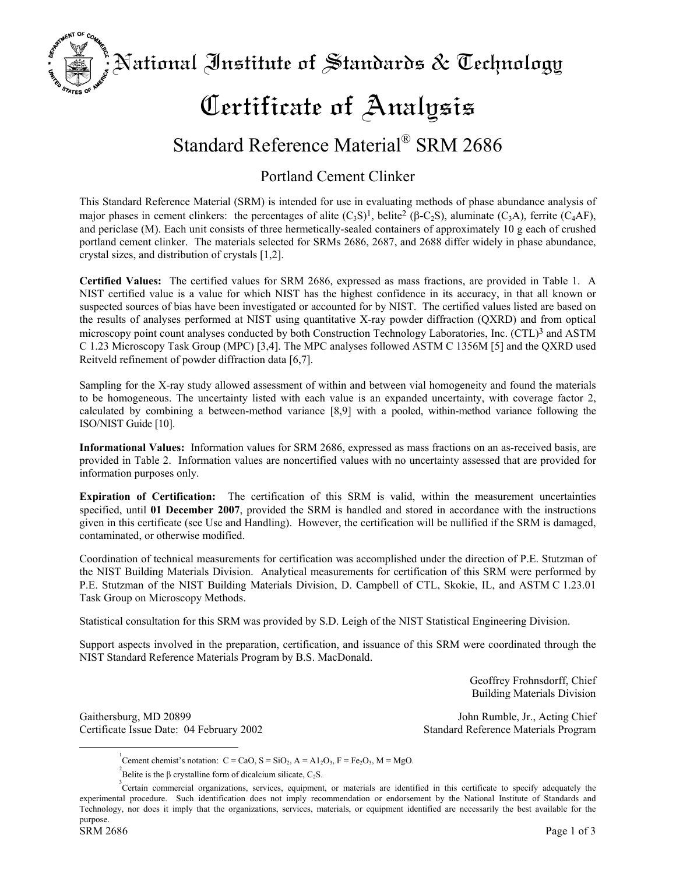National Institute of Standards  $\&$  Technology

# Certificate of Analysis

## Standard Reference Material® SRM 2686

## Portland Cement Clinker

This Standard Reference Material (SRM) is intended for use in evaluating methods of phase abundance analysis of major phases in cement clinkers: the percentages of alite  $(C_3S)^1$ , belite<sup>2</sup> (β-C<sub>2</sub>S), aluminate (C<sub>3</sub>A), ferrite (C<sub>4</sub>AF), and periclase (M). Each unit consists of three hermetically-sealed containers of approximately 10 g each of crushed portland cement clinker. The materials selected for SRMs 2686, 2687, and 2688 differ widely in phase abundance, crystal sizes, and distribution of crystals [1,2].

**Certified Values:** The certified values for SRM 2686, expressed as mass fractions, are provided in Table 1. A NIST certified value is a value for which NIST has the highest confidence in its accuracy, in that all known or suspected sources of bias have been investigated or accounted for by NIST. The certified values listed are based on the results of analyses performed at NIST using quantitative X-ray powder diffraction (QXRD) and from optical microscopy point count analyses conducted by both Construction Technology Laboratories, Inc. (CTL[\)3](#page-0-2) and ASTM C 1.23 Microscopy Task Group (MPC) [3,4]. The MPC analyses followed ASTM C 1356M [5] and the QXRD used Reitveld refinement of powder diffraction data [6,7].

Sampling for the X-ray study allowed assessment of within and between vial homogeneity and found the materials to be homogeneous. The uncertainty listed with each value is an expanded uncertainty, with coverage factor 2, calculated by combining a between-method variance [8,9] with a pooled, within-method variance following the ISO/NIST Guide [10].

**Informational Values:** Information values for SRM 2686, expressed as mass fractions on an as-received basis, are provided in Table 2. Information values are noncertified values with no uncertainty assessed that are provided for information purposes only.

**Expiration of Certification:** The certification of this SRM is valid, within the measurement uncertainties specified, until **01 December 2007**, provided the SRM is handled and stored in accordance with the instructions given in this certificate (see Use and Handling). However, the certification will be nullified if the SRM is damaged, contaminated, or otherwise modified.

Coordination of technical measurements for certification was accomplished under the direction of P.E. Stutzman of the NIST Building Materials Division. Analytical measurements for certification of this SRM were performed by P.E. Stutzman of the NIST Building Materials Division, D. Campbell of CTL, Skokie, IL, and ASTM C 1.23.01 Task Group on Microscopy Methods.

Statistical consultation for this SRM was provided by S.D. Leigh of the NIST Statistical Engineering Division.

Support aspects involved in the preparation, certification, and issuance of this SRM were coordinated through the NIST Standard Reference Materials Program by B.S. MacDonald.

> Geoffrey Frohnsdorff, Chief Building Materials Division

Gaithersburg, MD 20899 John Rumble, Jr., Acting Chief Certificate Issue Date: 04 February 2002 Standard Reference Materials Program

**AT OF** 

 $\frac{1}{1}$ Cement chemist's notation:  $C = CaO$ ,  $S = SiO<sub>2</sub>$ ,  $A = A1<sub>2</sub>O<sub>3</sub>$ ,  $F = Fe<sub>2</sub>O<sub>3</sub>$ ,  $M = MgO$ .

<span id="page-0-2"></span><span id="page-0-1"></span><span id="page-0-0"></span>Belite is the β crystalline form of dicalcium silicate,  $C_2S$ .

<sup>&</sup>lt;sup>3</sup> Certain commercial organizations, services, equipment, or materials are identified in this certificate to specify adequately the experimental procedure. Such identification does not imply recommendation or endorsement by the National Institute of Standards and Technology, nor does it imply that the organizations, services, materials, or equipment identified are necessarily the best available for the purpose.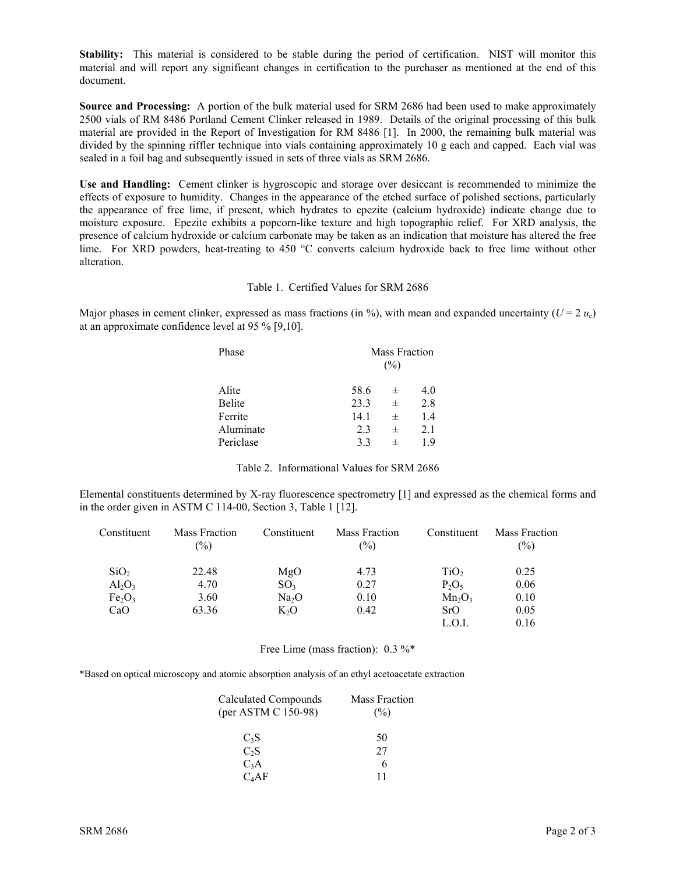**Stability:** This material is considered to be stable during the period of certification. NIST will monitor this material and will report any significant changes in certification to the purchaser as mentioned at the end of this document.

**Source and Processing:** A portion of the bulk material used for SRM 2686 had been used to make approximately 2500 vials of RM 8486 Portland Cement Clinker released in 1989. Details of the original processing of this bulk material are provided in the Report of Investigation for RM 8486 [1]. In 2000, the remaining bulk material was divided by the spinning riffler technique into vials containing approximately 10 g each and capped. Each vial was sealed in a foil bag and subsequently issued in sets of three vials as SRM 2686.

**Use and Handling:** Cement clinker is hygroscopic and storage over desiccant is recommended to minimize the effects of exposure to humidity. Changes in the appearance of the etched surface of polished sections, particularly the appearance of free lime, if present, which hydrates to epezite (calcium hydroxide) indicate change due to moisture exposure. Epezite exhibits a popcorn-like texture and high topographic relief. For XRD analysis, the presence of calcium hydroxide or calcium carbonate may be taken as an indication that moisture has altered the free lime. For XRD powders, heat-treating to 450 °C converts calcium hydroxide back to free lime without other alteration.

### Table 1. Certified Values for SRM 2686

Major phases in cement clinker, expressed as mass fractions (in %), with mean and expanded uncertainty ( $U = 2 u_c$ ) at an approximate confidence level at 95 % [9,10].

| Mass Fraction<br>$(\%)$ |          |     |
|-------------------------|----------|-----|
| 58.6                    | 士        | 4.0 |
| 23.3                    | $_{\pm}$ | 2.8 |
| 14.1                    | 士        | 1.4 |
| 2.3                     | 士        | 2.1 |
| 3.3                     | 士        | 19  |
|                         |          |     |

| Table 2. Informational Values for SRM 2686 |  |
|--------------------------------------------|--|
|--------------------------------------------|--|

Elemental constituents determined by X-ray fluorescence spectrometry [1] and expressed as the chemical forms and in the order given in ASTM C 114-00, Section 3, Table 1 [12].

| Constituent                    | Mass Fraction<br>$(\%)$ | Constituent       | Mass Fraction<br>$(\%)$ | Constituent      | <b>Mass Fraction</b><br>$(\%)$ |
|--------------------------------|-------------------------|-------------------|-------------------------|------------------|--------------------------------|
| SiO <sub>2</sub>               | 22.48                   | MgO               | 4.73                    | TiO <sub>2</sub> | 0.25                           |
| $Al_2O_3$                      | 4.70                    | SO <sub>3</sub>   | 0.27                    | $P_2O_5$         | 0.06                           |
| Fe <sub>2</sub> O <sub>3</sub> | 3.60                    | Na <sub>2</sub> O | 0.10                    | $Mn_2O_3$        | 0.10                           |
| CaO                            | 63.36                   | $K_2O$            | 0.42                    | SrO              | 0.05                           |
|                                |                         |                   |                         | L.O.I.           | 0.16                           |

Free Lime (mass fraction): 0.3 %\*

\*Based on optical microscopy and atomic absorption analysis of an ethyl acetoacetate extraction

| <b>Calculated Compounds</b><br>(per ASTM C 150-98) |    |
|----------------------------------------------------|----|
| $C_3S$                                             | 50 |
| $C_2S$                                             | 27 |
| $C_3A$                                             | 6  |
| $C_4AF$                                            |    |